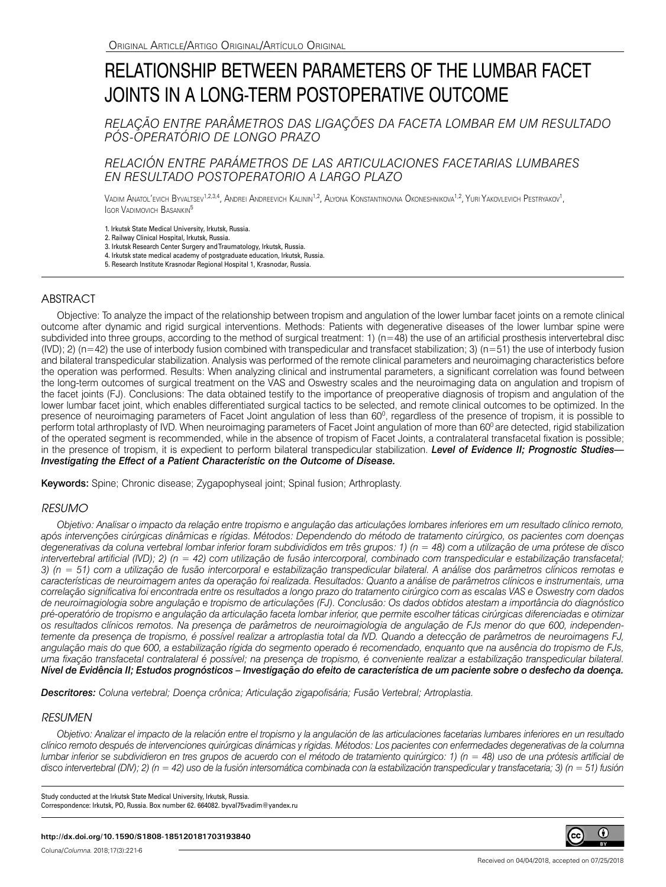# RELATIONSHIP BETWEEN PARAMETERS OF THE LUMBAR FACET JOINTS IN A LONG-TERM POSTOPERATIVE OUTCOME

## *RELAÇÃO ENTRE PARÂMETROS DAS LIGAÇÕES DA FACETA LOMBAR EM UM RESULTADO PÓS-OPERATÓRIO DE LONGO PRAZO*

# *RELACIÓN ENTRE PARÁMETROS DE LAS ARTICULACIONES FACETARIAS LUMBARES EN RESULTADO POSTOPERATORIO A LARGO PLAZO*

Vadim Anatol'evich Byvaltsev<sup>1,2,3,4</sup>, Andrei Andreevich Kalinin<sup>1,2</sup>, Alyona Konstantinovna Okoneshnikova<sup>1,2</sup>, Yuri Yakovlevich Pestryakov<sup>1</sup>, **IGOR VADIMOVICH BASANKIN<sup>5</sup>** 

1. Irkutsk State Medical University, Irkutsk, Russia.

2. Railway Clinical Hospital, Irkutsk, Russia.

3. Irkutsk Research Center Surgery and Traumatology, Irkutsk, Russia. 4. Irkutsk state medical academy of postgraduate education, Irkutsk, Russia.

5. Research Institute Krasnodar Regional Hospital 1, Krasnodar, Russia.

## **ABSTRACT**

Objective: To analyze the impact of the relationship between tropism and angulation of the lower lumbar facet joints on a remote clinical outcome after dynamic and rigid surgical interventions. Methods: Patients with degenerative diseases of the lower lumbar spine were subdivided into three groups, according to the method of surgical treatment:  $1)$  ( $n=48$ ) the use of an artificial prosthesis intervertebral disc  $(IVD)$ ; 2) (n=42) the use of interbody fusion combined with transpedicular and transfacet stabilization; 3) (n=51) the use of interbody fusion and bilateral transpedicular stabilization. Analysis was performed of the remote clinical parameters and neuroimaging characteristics before the operation was performed. Results: When analyzing clinical and instrumental parameters, a significant correlation was found between the long-term outcomes of surgical treatment on the VAS and Oswestry scales and the neuroimaging data on angulation and tropism of the facet joints (FJ). Conclusions: The data obtained testify to the importance of preoperative diagnosis of tropism and angulation of the lower lumbar facet joint, which enables differentiated surgical tactics to be selected, and remote clinical outcomes to be optimized. In the presence of neuroimaging parameters of Facet Joint angulation of less than 60<sup>0</sup>, regardless of the presence of tropism, it is possible to perform total arthroplasty of IVD. When neuroimaging parameters of Facet Joint angulation of more than 60° are detected, rigid stabilization of the operated segment is recommended, while in the absence of tropism of Facet Joints, a contralateral transfacetal fixation is possible; in the presence of tropism, it is expedient to perform bilateral transpedicular stabilization. *Level of Evidence II; Prognostic Studies— Investigating the Effect of a Patient Characteristic on the Outcome of Disease.* 

Keywords: Spine; Chronic disease; Zygapophyseal joint; Spinal fusion; Arthroplasty.

## *RESUMO*

*Objetivo: Analisar o impacto da relação entre tropismo e angulação das articulações lombares inferiores em um resultado clínico remoto, após intervenções cirúrgicas dinâmicas e rígidas. Métodos: Dependendo do método de tratamento cirúrgico, os pacientes com doenças degenerativas da coluna vertebral lombar inferior foram subdivididos em três grupos: 1) (n = 48) com a utilização de uma prótese de disco intervertebral artificial (IVD); 2) (n = 42) com utilização de fusão intercorporal, combinado com transpedicular e estabilização transfacetal; 3) (n = 51) com a utilização de fusão intercorporal e estabilização transpedicular bilateral. A análise dos parâmetros clínicos remotas e características de neuroimagem antes da operação foi realizada. Resultados: Quanto a análise de parâmetros clínicos e instrumentais, uma correlação significativa foi encontrada entre os resultados a longo prazo do tratamento cirúrgico com as escalas VAS e Oswestry com dados de neuroimagiologia sobre angulação e tropismo de articulações (FJ). Conclusão: Os dados obtidos atestam a importância do diagnóstico pré-operatório de tropismo e angulação da articulação faceta lombar inferior, que permite escolher táticas cirúrgicas diferenciadas e otimizar os resultados clínicos remotos. Na presença de parâmetros de neuroimagiologia de angulação de FJs menor do que 600, independentemente da presença de tropismo, é possível realizar a artroplastia total da IVD. Quando a detecção de parâmetros de neuroimagens FJ, angulação mais do que 600, a estabilização rígida do segmento operado é recomendado, enquanto que na ausência do tropismo de FJs, uma fixação transfacetal contralateral é possível; na presença de tropismo, é conveniente realizar a estabilização transpedicular bilateral. Nível de Evidência II; Estudos prognósticos – Investigação do efeito de característica de um paciente sobre o desfecho da doença.*

*Descritores: Coluna vertebral; Doença crônica; Articulação zigapofisária; Fusão Vertebral; Artroplastia.*

### *RESUMEN*

*Objetivo: Analizar el impacto de la relación entre el tropismo y la angulación de las articulaciones facetarias lumbares inferiores en un resultado clínico remoto después de intervenciones quirúrgicas dinámicas y rígidas. Métodos: Los pacientes con enfermedades degenerativas de la columna lumbar inferior se subdividieron en tres grupos de acuerdo con el método de tratamiento quirúrgico: 1) (n = 48) uso de una prótesis artificial de disco intervertebral (DIV); 2) (n = 42) uso de la fusión intersomática combinada con la estabilización transpedicular y transfacetaria; 3) (n = 51) fusión* 

Study conducted at the Irkutsk State Medical University, Irkutsk, Russia. Correspondence: Irkutsk, PO, Russia. Box number 62. 664082. byval75vadim@yandex.ru

#### **http://dx.doi.org/10.1590/S1808-185120181703193840**

Coluna/*Columna*. 2018;17(3):221-6

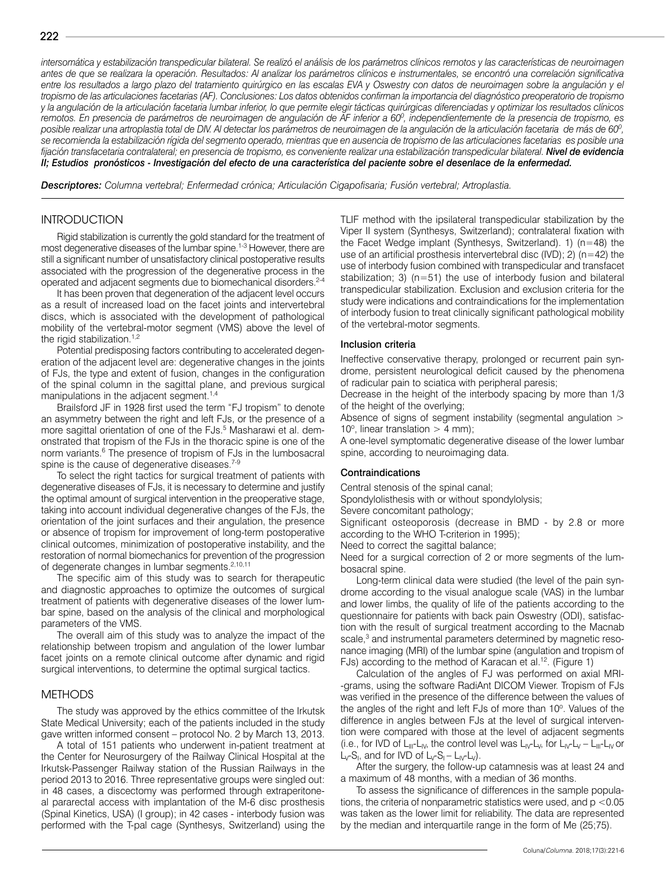*intersomática y estabilización transpedicular bilateral. Se realizó el análisis de los parámetros clínicos remotos y las características de neuroimagen antes de que se realizara la operación. Resultados: Al analizar los parámetros clínicos e instrumentales, se encontró una correlación significativa entre los resultados a largo plazo del tratamiento quirúrgico en las escalas EVA y Oswestry con datos de neuroimagen sobre la angulación y el tropismo de las articulaciones facetarias (AF). Conclusiones: Los datos obtenidos confirman la importancia del diagnóstico preoperatorio de tropismo y la angulación de la articulación facetaria lumbar inferior, lo que permite elegir tácticas quirúrgicas diferenciadas y optimizar los resultados clínicos*  remotos. En presencia de parámetros de neuroimagen de angulación de AF inferior a 60º, independientemente de la presencia de tropismo, es *posible realizar una artroplastia total de DIV. Al detectar los parámetros de neuroimagen de la angulación de la articulación facetaria de más de 600 , se recomienda la estabilización rígida del segmento operado, mientras que en ausencia de tropismo de las articulaciones facetarias es posible una*  fijación transfacetaria contralateral; en presencia de tropismo, es conveniente realizar una estabilización transpedicular bilateral. **Nivel de evidencia** *II; Estudios pronósticos - Investigación del efecto de una característica del paciente sobre el desenlace de la enfermedad.*

*Descriptores: Columna vertebral; Enfermedad crónica; Articulación Cigapofisaria; Fusión vertebral; Artroplastia.*

## **INTRODUCTION**

Rigid stabilization is currently the gold standard for the treatment of most degenerative diseases of the lumbar spine.<sup>1-3</sup> However, there are still a significant number of unsatisfactory clinical postoperative results associated with the progression of the degenerative process in the operated and adjacent segments due to biomechanical disorders.<sup>2-4</sup>

It has been proven that degeneration of the adjacent level occurs as a result of increased load on the facet joints and intervertebral discs, which is associated with the development of pathological mobility of the vertebral-motor segment (VMS) above the level of the rigid stabilization. $1,2$ 

Potential predisposing factors contributing to accelerated degeneration of the adjacent level are: degenerative changes in the joints of FJs, the type and extent of fusion, changes in the configuration of the spinal column in the sagittal plane, and previous surgical manipulations in the adjacent segment.<sup>1,4</sup>

Brailsford JF in 1928 first used the term "FJ tropism" to denote an asymmetry between the right and left FJs, or the presence of a more sagittal orientation of one of the FJs.<sup>5</sup> Masharawi et al. demonstrated that tropism of the FJs in the thoracic spine is one of the norm variants.<sup>6</sup> The presence of tropism of FJs in the lumbosacral spine is the cause of degenerative diseases.<sup>7-9</sup>

To select the right tactics for surgical treatment of patients with degenerative diseases of FJs, it is necessary to determine and justify the optimal amount of surgical intervention in the preoperative stage, taking into account individual degenerative changes of the FJs, the orientation of the joint surfaces and their angulation, the presence or absence of tropism for improvement of long-term postoperative clinical outcomes, minimization of postoperative instability, and the restoration of normal biomechanics for prevention of the progression of degenerate changes in lumbar segments.2,10,11

The specific aim of this study was to search for therapeutic and diagnostic approaches to optimize the outcomes of surgical treatment of patients with degenerative diseases of the lower lumbar spine, based on the analysis of the clinical and morphological parameters of the VMS.

The overall aim of this study was to analyze the impact of the relationship between tropism and angulation of the lower lumbar facet joints on a remote clinical outcome after dynamic and rigid surgical interventions, to determine the optimal surgical tactics.

#### METHODS

The study was approved by the ethics committee of the Irkutsk State Medical University; each of the patients included in the study gave written informed consent – protocol No. 2 by March 13, 2013.

A total of 151 patients who underwent in-patient treatment at the Center for Neurosurgery of the Railway Clinical Hospital at the Irkutsk-Passenger Railway station of the Russian Railways in the period 2013 to 2016. Three representative groups were singled out: in 48 cases, a discectomy was performed through extraperitoneal pararectal access with implantation of the M-6 disc prosthesis (Spinal Kinetics, USA) (I group); in 42 cases - interbody fusion was performed with the T-pal cage (Synthesys, Switzerland) using the TLIF method with the ipsilateral transpedicular stabilization by the Viper II system (Synthesys, Switzerland); contralateral fixation with the Facet Wedge implant (Synthesys, Switzerland). 1) (n=48) the use of an artificial prosthesis intervertebral disc  $(IVD)$ ; 2) (n=42) the use of interbody fusion combined with transpedicular and transfacet stabilization; 3) ( $n=51$ ) the use of interbody fusion and bilateral transpedicular stabilization. Exclusion and exclusion criteria for the study were indications and contraindications for the implementation of interbody fusion to treat clinically significant pathological mobility of the vertebral-motor segments.

#### Inclusion criteria

Ineffective conservative therapy, prolonged or recurrent pain syndrome, persistent neurological deficit caused by the phenomena of radicular pain to sciatica with peripheral paresis;

Decrease in the height of the interbody spacing by more than 1/3 of the height of the overlying;

Absence of signs of segment instability (segmental angulation > 10 $^{\circ}$ , linear translation > 4 mm);

A one-level symptomatic degenerative disease of the lower lumbar spine, according to neuroimaging data.

#### Contraindications

Central stenosis of the spinal canal;

Spondylolisthesis with or without spondylolysis;

Severe concomitant pathology;

Significant osteoporosis (decrease in BMD - by 2.8 or more according to the WHO T-criterion in 1995);

Need to correct the sagittal balance;

Need for a surgical correction of 2 or more segments of the lumbosacral spine.

Long-term clinical data were studied (the level of the pain syndrome according to the visual analogue scale (VAS) in the lumbar and lower limbs, the quality of life of the patients according to the questionnaire for patients with back pain Oswestry (ODI), satisfaction with the result of surgical treatment according to the Macnab scale,<sup>3</sup> and instrumental parameters determined by magnetic resonance imaging (MRI) of the lumbar spine (angulation and tropism of FJs) according to the method of Karacan et al.<sup>12</sup>. (Figure 1)

Calculation of the angles of FJ was performed on axial MRI- -grams, using the software RadiAnt DICOM Viewer. Tropism of FJs was verified in the presence of the difference between the values of the angles of the right and left FJs of more than 10°. Values of the difference in angles between FJs at the level of surgical intervention were compared with those at the level of adjacent segments (i.e., for IVD of  $L_{III}$ - $L_{IV}$ , the control level was  $L_{IV}$ - $L_{V}$ , for  $L_{IV}$ - $L_{V}$  –  $L_{III}$ - $L_{IV}$  or  $L_v$ -S<sub>I</sub>, and for IVD of  $L_v$ -S<sub>I</sub> –  $L_v$ - $L_v$ ).

After the surgery, the follow-up catamnesis was at least 24 and a maximum of 48 months, with a median of 36 months.

To assess the significance of differences in the sample populations, the criteria of nonparametric statistics were used, and  $p < 0.05$ was taken as the lower limit for reliability. The data are represented by the median and interquartile range in the form of Me (25;75).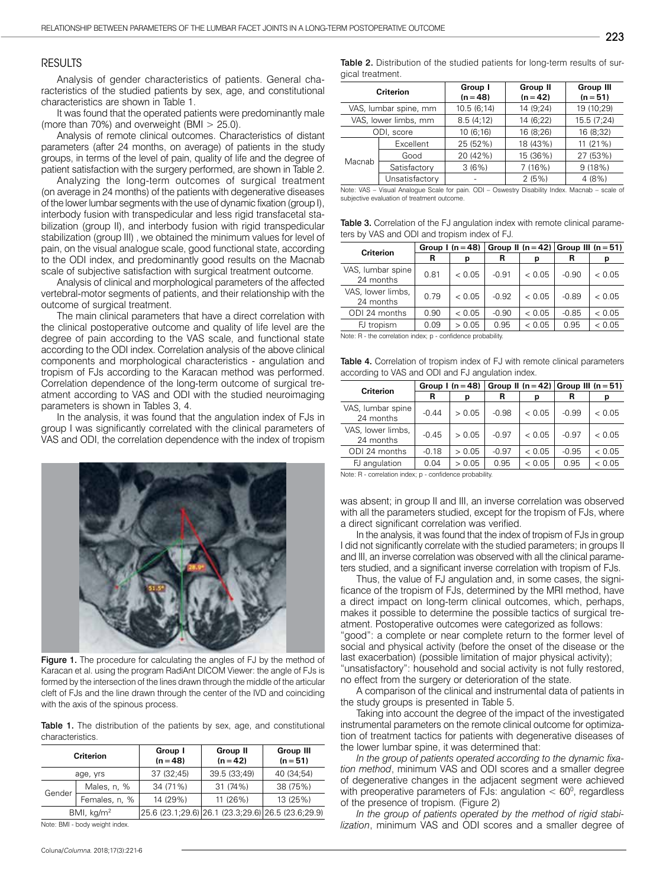#### RESULTS

Analysis of gender characteristics of patients. General characteristics of the studied patients by sex, age, and constitutional characteristics are shown in Table 1.

It was found that the operated patients were predominantly male (more than 70%) and overweight (BMI > 25.0).

Analysis of remote clinical outcomes. Characteristics of distant parameters (after 24 months, on average) of patients in the study groups, in terms of the level of pain, quality of life and the degree of patient satisfaction with the surgery performed, are shown in Table 2.

Analyzing the long-term outcomes of surgical treatment (on average in 24 months) of the patients with degenerative diseases of the lower lumbar segments with the use of dynamic fixation (group I), interbody fusion with transpedicular and less rigid transfacetal stabilization (group II), and interbody fusion with rigid transpedicular stabilization (group III) , we obtained the minimum values for level of pain, on the visual analogue scale, good functional state, according to the ODI index, and predominantly good results on the Macnab scale of subjective satisfaction with surgical treatment outcome.

Analysis of clinical and morphological parameters of the affected vertebral-motor segments of patients, and their relationship with the outcome of surgical treatment.

The main clinical parameters that have a direct correlation with the clinical postoperative outcome and quality of life level are the degree of pain according to the VAS scale, and functional state according to the ODI index. Correlation analysis of the above clinical components and morphological characteristics - angulation and tropism of FJs according to the Karacan method was performed. Correlation dependence of the long-term outcome of surgical treatment according to VAS and ODI with the studied neuroimaging parameters is shown in Tables 3, 4.

In the analysis, it was found that the angulation index of FJs in group I was significantly correlated with the clinical parameters of VAS and ODI, the correlation dependence with the index of tropism



Figure 1. The procedure for calculating the angles of FJ by the method of Karacan et al. using the program RadiAnt DICOM Viewer: the angle of FJs is formed by the intersection of the lines drawn through the middle of the articular cleft of FJs and the line drawn through the center of the IVD and coinciding with the axis of the spinous process.

Table 1. The distribution of the patients by sex, age, and constitutional characteristics.

| <b>Criterion</b> |               | Group I<br>$(n = 48)$ | Group II<br>$(n = 42)$                             | Group III<br>$(n = 51)$ |  |  |  |
|------------------|---------------|-----------------------|----------------------------------------------------|-------------------------|--|--|--|
| age, yrs         |               | 37 (32;45)            | 39.5 (33;49)                                       | 40 (34;54)              |  |  |  |
| Gender           | Males, n, %   | 34 (71%)              | 31 (74%)                                           | 38 (75%)                |  |  |  |
|                  | Females, n, % | 14 (29%)              | 11(26%)                                            | 13 (25%)                |  |  |  |
| BMI, $kg/m2$     |               |                       | 25.6 (23.1;29.6) 26.1 (23.3;29.6) 26.5 (23.6;29.9) |                         |  |  |  |

Note: BMI - body weight index.

Table 2. Distribution of the studied patients for long-term results of surgical treatment.

| Criterion             |                | Group I<br>$(n = 48)$ | Group II<br>$(n = 42)$ | <b>Group III</b><br>$(n = 51)$ |  |
|-----------------------|----------------|-----------------------|------------------------|--------------------------------|--|
| VAS, lumbar spine, mm |                | 10.5(6;14)            | 14 (9;24)              | 19 (10;29)                     |  |
| VAS, lower limbs, mm  |                | 8.5(4;12)             | 14 (6;22)              | 15.5 (7;24)                    |  |
| ODI, score            |                | 10(6;16)              | 16 (8:26)              | 16 (8;32)                      |  |
| Macnab                | Excellent      | 25 (52%)              | 18 (43%)               | 11 (21%)                       |  |
|                       | Good           | 20 (42%)              | 15 (36%)               | 27 (53%)                       |  |
|                       | Satisfactory   | 3(6%)                 | 7(16%)                 | 9(18%)                         |  |
|                       | Unsatisfactory |                       | 2(5%)                  | 4(8%)                          |  |

Note: VAS – Visual Analogue Scale for pain. ODI – Oswestry Disability Index. Macnab – scale of subjective evaluation of treatment outcome.

Table 3. Correlation of the FJ angulation index with remote clinical parameters by VAS and ODI and tropism index of FJ.

| <b>Criterion</b>               | Group $l(n=48)$ |        |         |        | Group II ( $n = 42$ ) Group III ( $n = 51$ ) |        |  |
|--------------------------------|-----------------|--------|---------|--------|----------------------------------------------|--------|--|
|                                | R               | р      | R       | р      | R                                            | р      |  |
| VAS, lumbar spine<br>24 months | 0.81            | < 0.05 | $-0.91$ | < 0.05 | $-0.90$                                      | < 0.05 |  |
| VAS, lower limbs,<br>24 months | 0.79            | < 0.05 | $-0.92$ | < 0.05 | $-0.89$                                      | < 0.05 |  |
| ODI 24 months                  | 0.90            | < 0.05 | $-0.90$ | < 0.05 | $-0.85$                                      | < 0.05 |  |
| FJ tropism                     | 0.09            | > 0.05 | 0.95    | < 0.05 | 0.95                                         | < 0.05 |  |

Note: R - the correlation index; p - confidence probability.

Table 4. Correlation of tropism index of FJ with remote clinical parameters according to VAS and ODI and FJ angulation index.

| <b>Criterion</b>               | Group $l(n=48)$ |        |         |        | Group II ( $n = 42$ ) Group III ( $n = 51$ ) |        |  |  |
|--------------------------------|-----------------|--------|---------|--------|----------------------------------------------|--------|--|--|
|                                | R               | р      | R       | р      | R                                            | р      |  |  |
| VAS, lumbar spine<br>24 months | $-0.44$         | > 0.05 | $-0.98$ | < 0.05 | $-0.99$                                      | < 0.05 |  |  |
| VAS, lower limbs,<br>24 months | $-0.45$         | > 0.05 | $-0.97$ | < 0.05 | $-0.97$                                      | < 0.05 |  |  |
| ODI 24 months                  | $-0.18$         | > 0.05 | $-0.97$ | < 0.05 | $-0.95$                                      | < 0.05 |  |  |
| FJ angulation                  | 0.04            | > 0.05 | 0.95    | < 0.05 | 0.95                                         | < 0.05 |  |  |

Note: R - correlation index; p - confidence probability.

was absent; in group II and III, an inverse correlation was observed with all the parameters studied, except for the tropism of FJs, where a direct significant correlation was verified.

In the analysis, it was found that the index of tropism of FJs in group I did not significantly correlate with the studied parameters; in groups II and III, an inverse correlation was observed with all the clinical parameters studied, and a significant inverse correlation with tropism of FJs.

Thus, the value of FJ angulation and, in some cases, the significance of the tropism of FJs, determined by the MRI method, have a direct impact on long-term clinical outcomes, which, perhaps, makes it possible to determine the possible tactics of surgical treatment. Postoperative outcomes were categorized as follows:

"good": a complete or near complete return to the former level of social and physical activity (before the onset of the disease or the last exacerbation) (possible limitation of major physical activity); "unsatisfactory": household and social activity is not fully restored, no effect from the surgery or deterioration of the state.

A comparison of the clinical and instrumental data of patients in the study groups is presented in Table 5.

Taking into account the degree of the impact of the investigated instrumental parameters on the remote clinical outcome for optimization of treatment tactics for patients with degenerative diseases of the lower lumbar spine, it was determined that:

*In the group of patients operated according to the dynamic fixation method*, minimum VAS and ODI scores and a smaller degree of degenerative changes in the adjacent segment were achieved with preoperative parameters of FJs: angulation  $< 60^\circ$ , regardless of the presence of tropism. (Figure 2)

*In the group of patients operated by the method of rigid stabilization*, minimum VAS and ODI scores and a smaller degree of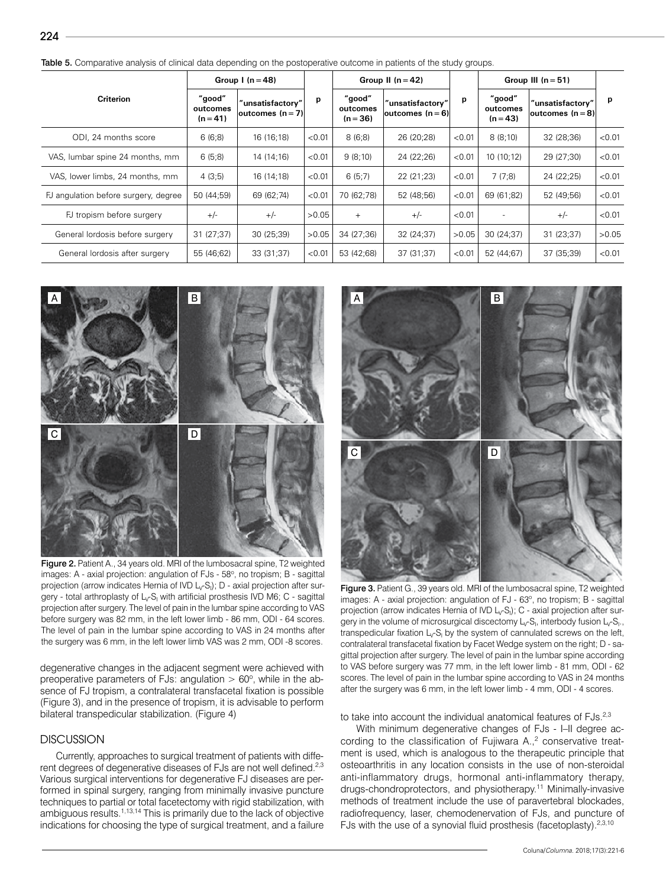|                                      | Group $I(n=48)$                  |                                       |        | Group II $(n=42)$                |                                         |        | Group III $(n = 51)$             |                                       |        |
|--------------------------------------|----------------------------------|---------------------------------------|--------|----------------------------------|-----------------------------------------|--------|----------------------------------|---------------------------------------|--------|
| <b>Criterion</b>                     | "good"<br>outcomes<br>$(n = 41)$ | "unsatisfactory"<br> outcomes $(n=7)$ | p      | "good"<br>outcomes<br>$(n = 36)$ | "unsatisfactory"<br> outcomes $(n = 6)$ | р      | "good"<br>outcomes<br>$(n = 43)$ | "unsatisfactory"<br> outcomes $(n=8)$ | p      |
| ODI, 24 months score                 | 6(6;8)                           | 16 (16;18)                            | < 0.01 | 8(6;8)                           | 26 (20;28)                              | < 0.01 | 8(8;10)                          | 32 (28;36)                            | < 0.01 |
| VAS, lumbar spine 24 months, mm      | 6(5,8)                           | 14 (14;16)                            | < 0.01 | 9(8;10)                          | 24 (22;26)                              | < 0.01 | 10(10;12)                        | 29 (27;30)                            | < 0.01 |
| VAS, lower limbs, 24 months, mm      | 4(3:5)                           | 16 (14;18)                            | < 0.01 | 6(5;7)                           | 22 (21;23)                              | < 0.01 | 7(7,8)                           | 24 (22;25)                            | < 0.01 |
| FJ angulation before surgery, degree | 50 (44;59)                       | 69 (62;74)                            | < 0.01 | 70 (62;78)                       | 52 (48;56)                              | < 0.01 | 69 (61;82)                       | 52 (49;56)                            | < 0.01 |
| FJ tropism before surgery            | $+/-$                            | $+/-$                                 | >0.05  | $+$                              | $+/-$                                   | < 0.01 |                                  | $+/-$                                 | < 0.01 |
| General lordosis before surgery      | 31(27;37)                        | 30(25;39)                             | >0.05  | 34 (27;36)                       | 32 (24;37)                              | >0.05  | 30 (24;37)                       | 31(23;37)                             | >0.05  |
| General lordosis after surgery       | 55 (46;62)                       | 33 (31;37)                            | < 0.01 | 53 (42;68)                       | 37 (31;37)                              | < 0.01 | 52 (44;67)                       | 37 (35;39)                            | < 0.01 |



Figure 2. Patient A., 34 years old. MRI of the lumbosacral spine, T2 weighted images: A - axial projection: angulation of FJs - 58°, no tropism; B - sagittal projection (arrow indicates Hernia of IVD L<sub>v</sub>-S<sub>I</sub>); D - axial projection after surgery - total arthroplasty of L<sub>v</sub>-S<sub>I</sub> with artificial prosthesis IVD M6; C - sagittal projection after surgery. The level of pain in the lumbar spine according to VAS before surgery was 82 mm, in the left lower limb - 86 mm, ODI - 64 scores. The level of pain in the lumbar spine according to VAS in 24 months after the surgery was 6 mm, in the left lower limb VAS was 2 mm, ODI -8 scores.

degenerative changes in the adjacent segment were achieved with preoperative parameters of FJs: angulation  $> 60^\circ$ , while in the absence of FJ tropism, a contralateral transfacetal fixation is possible (Figure 3), and in the presence of tropism, it is advisable to perform bilateral transpedicular stabilization. (Figure 4)

## **DISCUSSION**

224

Currently, approaches to surgical treatment of patients with different degrees of degenerative diseases of FJs are not well defined.<sup>2,3</sup> Various surgical interventions for degenerative FJ diseases are performed in spinal surgery, ranging from minimally invasive puncture techniques to partial or total facetectomy with rigid stabilization, with ambiguous results.1,13,14 This is primarily due to the lack of objective indications for choosing the type of surgical treatment, and a failure



Figure 3. Patient G., 39 years old. MRI of the lumbosacral spine, T2 weighted images: A - axial projection: angulation of FJ - 63°, no tropism; B - sagittal projection (arrow indicates Hernia of IVD  $L_V S_l$ ); C - axial projection after surgery in the volume of microsurgical discectomy  $L_rS_l$ , interbody fusion  $L_rS_l$ ., transpedicular fixation  $L_{\mathcal{V}}S_I$  by the system of cannulated screws on the left, contralateral transfacetal fixation by Facet Wedge system on the right; D - sagittal projection after surgery. The level of pain in the lumbar spine according to VAS before surgery was 77 mm, in the left lower limb - 81 mm, ODI - 62 scores. The level of pain in the lumbar spine according to VAS in 24 months after the surgery was 6 mm, in the left lower limb - 4 mm, ODI - 4 scores.

to take into account the individual anatomical features of FJs.<sup>2,3</sup>

With minimum degenerative changes of FJs - I–II degree according to the classification of Fujiwara  $A_{1,2}^2$  conservative treatment is used, which is analogous to the therapeutic principle that osteoarthritis in any location consists in the use of non-steroidal anti-inflammatory drugs, hormonal anti-inflammatory therapy, drugs-chondroprotectors, and physiotherapy.11 Minimally-invasive methods of treatment include the use of paravertebral blockades, radiofrequency, laser, chemodenervation of FJs, and puncture of FJs with the use of a synovial fluid prosthesis (facetoplasty). $2,3,10$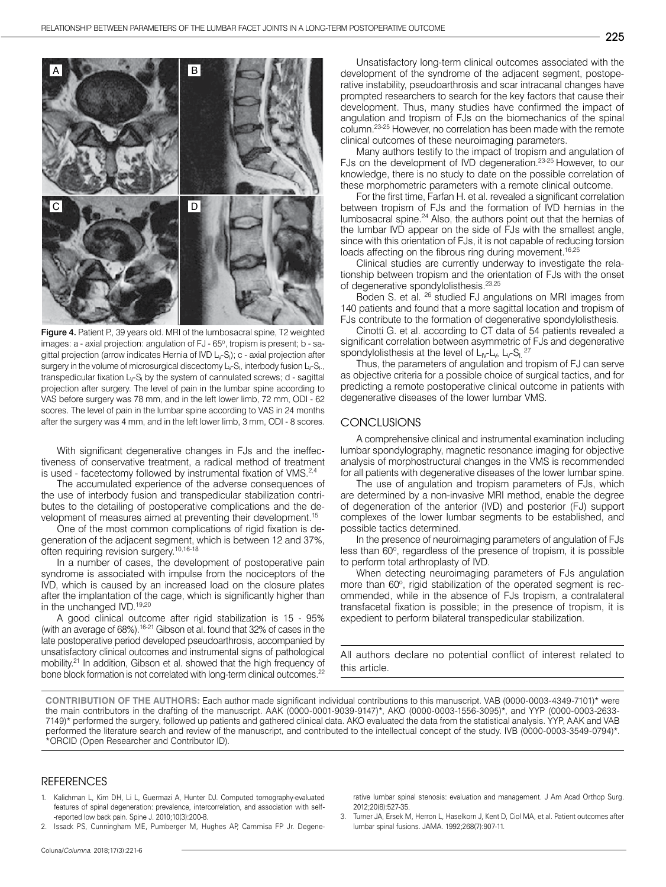

Figure 4. Patient P., 39 years old. MRI of the lumbosacral spine, T2 weighted images: a - axial projection: angulation of FJ - 65°, tropism is present; b - sagittal projection (arrow indicates Hernia of IVD  $\mathsf{L}_{\mathsf{V}}\mathsf{S}_{\mathsf{I}}$ );  $\mathsf{c}$  - axial projection after surgery in the volume of microsurgical discectomy  $L_{\mathsf{v}}\mathsf{S}_{\mathsf{I}}$ , interbody fusion  $L_{\mathsf{v}}\mathsf{S}_{\mathsf{I}}$ ., transpedicular fixation L<sub>v</sub>-S<sub>I</sub> by the system of cannulated screws; d - sagittal projection after surgery. The level of pain in the lumbar spine according to VAS before surgery was 78 mm, and in the left lower limb, 72 mm, ODI - 62 scores. The level of pain in the lumbar spine according to VAS in 24 months after the surgery was 4 mm, and in the left lower limb, 3 mm, ODI - 8 scores.

With significant degenerative changes in FJs and the ineffectiveness of conservative treatment, a radical method of treatment is used - facetectomy followed by instrumental fixation of VMS.<sup>2,4</sup>

The accumulated experience of the adverse consequences of the use of interbody fusion and transpedicular stabilization contributes to the detailing of postoperative complications and the development of measures aimed at preventing their development.15

One of the most common complications of rigid fixation is degeneration of the adjacent segment, which is between 12 and 37%, often requiring revision surgery.10,16-18

In a number of cases, the development of postoperative pain syndrome is associated with impulse from the nociceptors of the IVD, which is caused by an increased load on the closure plates after the implantation of the cage, which is significantly higher than in the unchanged IVD.<sup>19,20</sup>

A good clinical outcome after rigid stabilization is 15 - 95% (with an average of 68%).<sup>16-21</sup> Gibson et al. found that 32% of cases in the late postoperative period developed pseudoarthrosis, accompanied by unsatisfactory clinical outcomes and instrumental signs of pathological mobility.<sup>21</sup> In addition, Gibson et al. showed that the high frequency of bone block formation is not correlated with long-term clinical outcomes.<sup>22</sup>

Unsatisfactory long-term clinical outcomes associated with the development of the syndrome of the adjacent segment, postoperative instability, pseudoarthrosis and scar intracanal changes have prompted researchers to search for the key factors that cause their development. Thus, many studies have confirmed the impact of angulation and tropism of FJs on the biomechanics of the spinal column.23-25 However, no correlation has been made with the remote clinical outcomes of these neuroimaging parameters.

Many authors testify to the impact of tropism and angulation of FJs on the development of IVD degeneration.<sup>23-25</sup> However, to our knowledge, there is no study to date on the possible correlation of these morphometric parameters with a remote clinical outcome.

For the first time, Farfan H. et al. revealed a significant correlation between tropism of FJs and the formation of IVD hernias in the lumbosacral spine.<sup>24</sup> Also, the authors point out that the hernias of the lumbar IVD appear on the side of FJs with the smallest angle, since with this orientation of FJs, it is not capable of reducing torsion loads affecting on the fibrous ring during movement.<sup>16,25</sup>

Clinical studies are currently underway to investigate the relationship between tropism and the orientation of FJs with the onset of degenerative spondylolisthesis.<sup>23,25</sup>

Boden S. et al. 26 studied FJ angulations on MRI images from 140 patients and found that a more sagittal location and tropism of FJs contribute to the formation of degenerative spondylolisthesis.

Cinotti G. et al. according to CT data of 54 patients revealed a significant correlation between asymmetric of FJs and degenerative spondylolisthesis at the level of  $L_V L_V$ ,  $L_V S_L$ <sup>27</sup>

Thus, the parameters of angulation and tropism of FJ can serve as objective criteria for a possible choice of surgical tactics, and for predicting a remote postoperative clinical outcome in patients with degenerative diseases of the lower lumbar VMS.

## **CONCLUSIONS**

A comprehensive clinical and instrumental examination including lumbar spondylography, magnetic resonance imaging for objective analysis of morphostructural changes in the VMS is recommended for all patients with degenerative diseases of the lower lumbar spine.

The use of angulation and tropism parameters of FJs, which are determined by a non-invasive MRI method, enable the degree of degeneration of the anterior (IVD) and posterior (FJ) support complexes of the lower lumbar segments to be established, and possible tactics determined.

In the presence of neuroimaging parameters of angulation of FJs less than 60°, regardless of the presence of tropism, it is possible to perform total arthroplasty of IVD.

When detecting neuroimaging parameters of FJs angulation more than 60°, rigid stabilization of the operated segment is recommended, while in the absence of FJs tropism, a contralateral transfacetal fixation is possible; in the presence of tropism, it is expedient to perform bilateral transpedicular stabilization.

All authors declare no potential conflict of interest related to this article.

**CONTRIBUTION OF THE AUTHORS:** Each author made significant individual contributions to this manuscript. VAB (0000-0003-4349-7101)\* were the main contributors in the drafting of the manuscript. AAK (0000-0001-9039-9147)\*, AKO (0000-0003-1556-3095)\*, and YYP (0000-0003-2633- 7149)\* performed the surgery, followed up patients and gathered clinical data. AKO evaluated the data from the statistical analysis. YYP, AAK and VAB performed the literature search and review of the manuscript, and contributed to the intellectual concept of the study. IVB (0000-0003-3549-0794)\*. \*ORCID (Open Researcher and Contributor ID).

#### **REFERENCES**

- 1. Kalichman L, Kim DH, Li L, Guermazi A, Hunter DJ. Computed tomography-evaluated features of spinal degeneration: prevalence, intercorrelation, and association with self- -reported low back pain. Spine J. 2010;10(3):200-8.
- 2. Issack PS, Cunningham ME, Pumberger M, Hughes AP, Cammisa FP Jr. Degene-

rative lumbar spinal stenosis: evaluation and management. J Am Acad Orthop Surg. 2012;20(8):527-35.

3. Turner JA, Ersek M, Herron L, Haselkorn J, Kent D, Ciol MA, et al. Patient outcomes after lumbar spinal fusions. JAMA. 1992;268(7):907-11.